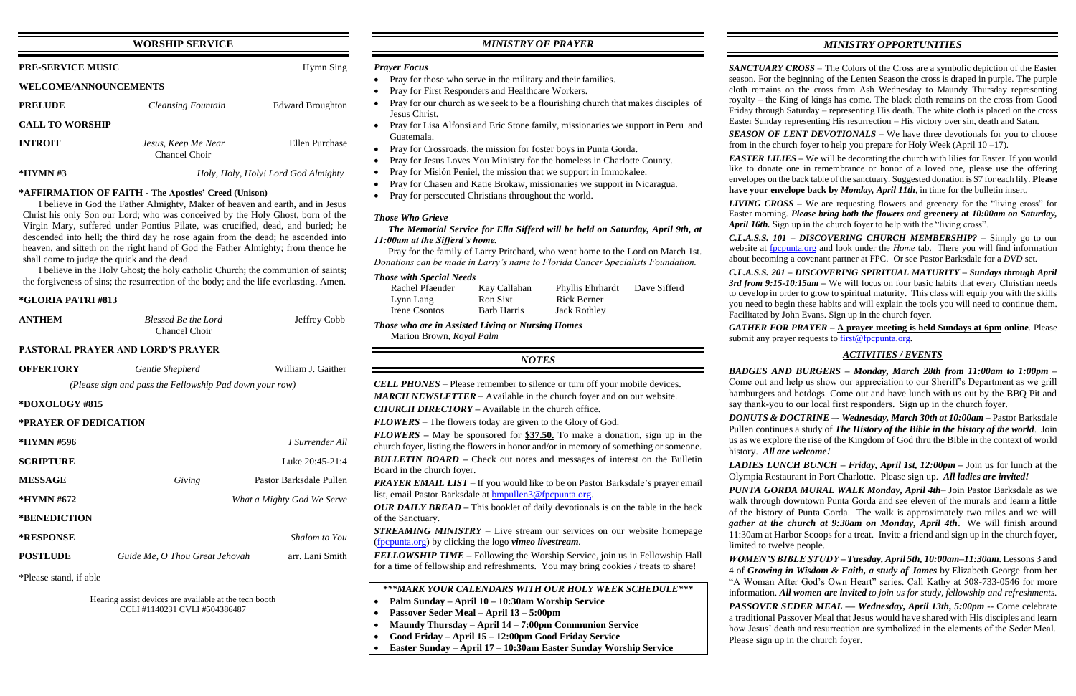## **WORSHIP SERVICE**

| <b>PRE-SERVICE MUSIC</b>     | Hymn Sing                            |                                     |  |  |  |
|------------------------------|--------------------------------------|-------------------------------------|--|--|--|
| <b>WELCOME/ANNOUNCEMENTS</b> |                                      |                                     |  |  |  |
| <b>PRELUDE</b>               | <b>Cleansing Fountain</b>            | <b>Edward Broughton</b>             |  |  |  |
| <b>CALL TO WORSHIP</b>       |                                      |                                     |  |  |  |
| <b>INTROIT</b>               | Jesus, Keep Me Near<br>Chancel Choir | Ellen Purchase                      |  |  |  |
| $*HYMN \#3$                  |                                      | Holy, Holy, Holy! Lord God Almighty |  |  |  |

#### **\*AFFIRMATION OF FAITH - The Apostles' Creed (Unison)**

I believe in God the Father Almighty, Maker of heaven and earth, and in Jesus Christ his only Son our Lord; who was conceived by the Holy Ghost, born of the Virgin Mary, suffered under Pontius Pilate, was crucified, dead, and buried; he descended into hell; the third day he rose again from the dead; he ascended into heaven, and sitteth on the right hand of God the Father Almighty; from thence he shall come to judge the quick and the dead.

I believe in the Holy Ghost; the holy catholic Church; the communion of saints; the forgiveness of sins; the resurrection of the body; and the life everlasting. Amen.

#### **\*GLORIA PATRI #813**

| <b>ANTHEM</b>                            | Blessed Be the Lord<br>Chancel Choir | Jeffrey Cobb |  |  |  |
|------------------------------------------|--------------------------------------|--------------|--|--|--|
| <b>PASTORAL PRAYER AND LORD'S PRAYER</b> |                                      |              |  |  |  |

# **OFFERTORY** *Gentle Shepherd* William J. Gaither *(Please sign and pass the Fellowship Pad down your row)* **\*DOXOLOGY #815 \*PRAYER OF DEDICATION \*HYMN #596** *I Surrender All* **SCRIPTURE** Luke 20:45-21:4 **MESSAGE** *Giving* Pastor Barksdale Pullen **\*HYMN #672** *What a Mighty God We Serve* **\*BENEDICTION \*RESPONSE** *Shalom to You* **POSTLUDE** *Guide Me, O Thou Great Jehovah* arr. Lani Smith

\*Please stand, if able

Hearing assist devices are available at the tech booth CCLI #1140231 CVLI #504386487

## *MINISTRY OF PRAYER*

#### *Prayer Focus*

- Pray for those who serve in the military and their families.
- Pray for First Responders and Healthcare Workers.
- Pray for our church as we seek to be a flourishing church that makes disciples of Jesus Christ.
- Pray for Lisa Alfonsi and Eric Stone family, missionaries we support in Peru and Guatemala.
- Pray for Crossroads, the mission for foster boys in Punta Gorda.
- Pray for Jesus Loves You Ministry for the homeless in Charlotte County.
- Pray for Misión Peniel, the mission that we support in Immokalee.
- Pray for Chasen and Katie Brokaw, missionaries we support in Nicaragua.
- Pray for persecuted Christians throughout the world.

*PRAYER EMAIL LIST* – If you would like to be on Pastor Barksdale's prayer email list, email Pastor Barksdale at [bmpullen3@fpcpunta.org.](about:blank)

#### *Those Who Grieve*

#### *The Memorial Service for Ella Sifferd will be held on Saturday, April 9th, at 11:00am at the Sifferd's home.*

 Pray for the family of Larry Pritchard, who went home to the Lord on March 1st. *Donations can be made in Larry's name to Florida Cancer Specialists Foundation.*

#### *Those with Special Needs*

*LIVING CROSS –* We are requesting flowers and greenery for the "living cross" for Easter morning. *Please bring both the flowers and* **greenery at** *10:00am on Saturday, April 16th.* Sign up in the church foyer to help with the "living cross".

| Rachel Pfaender | Kay Callahan | <b>Phyllis Ehrhardt</b> | Dave Sifferd |
|-----------------|--------------|-------------------------|--------------|
| Lynn Lang       | Ron Sixt     | <b>Rick Berner</b>      |              |
| Irene Csontos   | Barb Harris  | Jack Rothley            |              |

*Those who are in Assisted Living or Nursing Homes* Marion Brown, *Royal Palm*

## *NOTES*

*CELL PHONES –* Please remember to silence or turn off your mobile devices. *MARCH NEWSLETTER –* Available in the church foyer and on our website.

*CHURCH DIRECTORY –* Available in the church office.

*FLOWERS* – The flowers today are given to the Glory of God.

*GATHER FOR PRAYER –* **A prayer meeting is held Sundays at 6pm online**. Please submit any prayer requests t[o first@fpcpunta.org.](about:blank)

*FLOWERS –* May be sponsored for **\$37.50.** To make a donation, sign up in the church foyer, listing the flowers in honor and/or in memory of something or someone. *BULLETIN BOARD –* Check out notes and messages of interest on the Bulletin Board in the church foyer.

*OUR DAILY BREAD –* This booklet of daily devotionals is on the table in the back of the Sanctuary.

*STREAMING MINISTRY –* Live stream our services on our website homepage [\(fpcpunta.org\)](about:blank) by clicking the logo *vimeo livestream.*

*FELLOWSHIP TIME –* Following the Worship Service, join us in Fellowship Hall for a time of fellowship and refreshments. You may bring cookies / treats to share!

*\*\*\*MARK YOUR CALENDARS WITH OUR HOLY WEEK SCHEDULE\*\*\**

- **Palm Sunday – April 10 – 10:30am Worship Service**
- **Passover Seder Meal – April 13 – 5:00pm**
- **Maundy Thursday – April 14 – 7:00pm Communion Service**
- **Good Friday – April 15 – 12:00pm Good Friday Service**
- **Easter Sunday – April 17 – 10:30am Easter Sunday Worship Service**

## *MINISTRY OPPORTUNITIES*

*SANCTUARY CROSS* – The Colors of the Cross are a symbolic depiction of the Easter season. For the beginning of the Lenten Season the cross is draped in purple. The purple cloth remains on the cross from Ash Wednesday to Maundy Thursday representing royalty – the King of kings has come. The black cloth remains on the cross from Good Friday through Saturday – representing His death. The white cloth is placed on the cross Easter Sunday representing His resurrection – His victory over sin, death and Satan. *SEASON OF LENT DEVOTIONALS –* We have three devotionals for you to choose from in the church foyer to help you prepare for Holy Week (April 10 –17).

*EASTER LILIES –* We will be decorating the church with lilies for Easter. If you would like to donate one in remembrance or honor of a loved one, please use the offering envelopes on the back table of the sanctuary. Suggested donation is \$7 for each lily. **Please have your envelope back by** *Monday, April 11th*, in time for the bulletin insert.

*C.L.A.S.S. 101 – DISCOVERING CHURCH MEMBERSHIP? –* Simply go to our website at [fpcpunta.org](about:blank) and look under the *Home* tab. There you will find information about becoming a covenant partner at FPC. Or see Pastor Barksdale for a *DVD* set.

*C.L.A.S.S. 201 – DISCOVERING SPIRITUAL MATURITY – Sundays through April 3rd from 9:15-10:15am –* We will focus on four basic habits that every Christian needs to develop in order to grow to spiritual maturity. This class will equip you with the skills you need to begin these habits and will explain the tools you will need to continue them. Facilitated by John Evans. Sign up in the church foyer.

## *ACTIVITIES / EVENTS*

*BADGES AND BURGERS – Monday, March 28th from 11:00am to 1:00pm –* Come out and help us show our appreciation to our Sheriff's Department as we grill hamburgers and hotdogs. Come out and have lunch with us out by the BBQ Pit and say thank-you to our local first responders. Sign up in the church foyer.

*DONUTS & DOCTRINE –*- *Wednesday, March 30th at 10:00am –* Pastor Barksdale Pullen continues a study of *The History of the Bible in the history of the world*. Join us as we explore the rise of the Kingdom of God thru the Bible in the context of world history. *All are welcome!*

*LADIES LUNCH BUNCH – Friday, April 1st, 12:00pm –* Join us for lunch at the Olympia Restaurant in Port Charlotte. Please sign up. *All ladies are invited! PUNTA GORDA MURAL WALK Monday, April 4th*– Join Pastor Barksdale as we walk through downtown Punta Gorda and see eleven of the murals and learn a little of the history of Punta Gorda. The walk is approximately two miles and we will *gather at the church at 9:30am on Monday, April 4th*. We will finish around 11:30am at Harbor Scoops for a treat. Invite a friend and sign up in the church foyer, limited to twelve people.

*WOMEN'S BIBLE STUDY – Tuesday, April 5th, 10:00am–11:30am*. Lessons 3 and 4 of *Growing in Wisdom & Faith, a study of James* by Elizabeth George from her "A Woman After God's Own Heart" series. Call Kathy at 508-733-0546 for more information. *All women are invited to join us for study, fellowship and refreshments.*

*PASSOVER SEDER MEAL — Wednesday, April 13th, 5:00pm* -- Come celebrate a traditional Passover Meal that Jesus would have shared with His disciples and learn how Jesus' death and resurrection are symbolized in the elements of the Seder Meal. Please sign up in the church foyer.